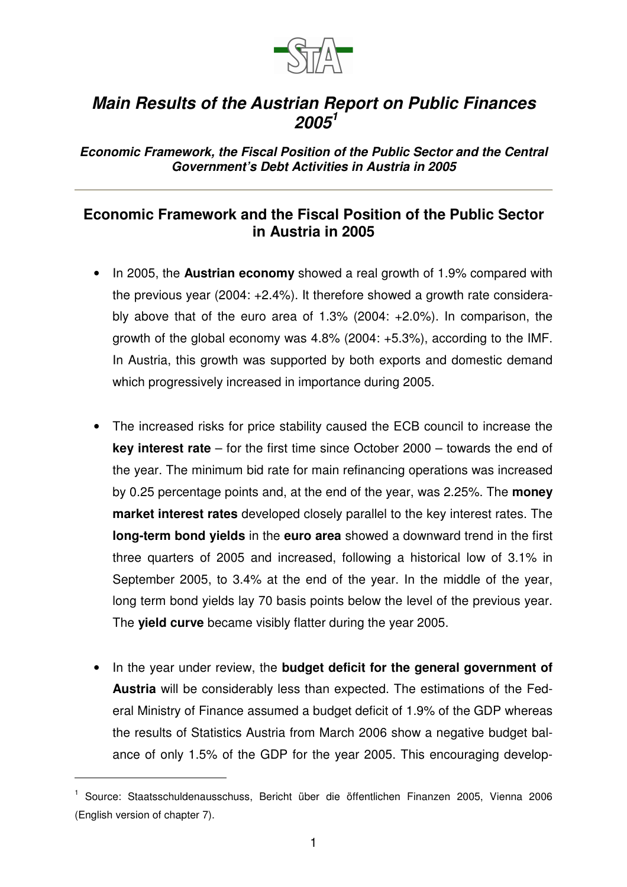

## *Main Results of the Austrian Report on Public Finances 2005 1*

*Economic Framework, the Fiscal Position of the Public Sector and the Central Government's Debt Activities in Austria in 2005*

## **Economic Framework and the Fiscal Position of the Public Sector in Austria in 2005**

- In 2005, the **Austrian economy** showed a real growth of 1.9% compared with the previous year (2004: +2.4%). It therefore showed a growth rate considerably above that of the euro area of 1.3% (2004: +2.0%). In comparison, the growth of the global economy was 4.8% (2004: +5.3%), according to the IMF. In Austria, this growth was supported by both exports and domestic demand which progressively increased in importance during 2005.
- The increased risks for price stability caused the ECB council to increase the **key interest rate** – for the first time since October 2000 – towards the end of the year. The minimum bid rate for main refinancing operations was increased by 0.25 percentage points and, at the end of the year, was 2.25%. The **money market interest rates** developed closely parallel to the key interest rates. The **long-term bond yields** in the **euro area** showed a downward trend in the first three quarters of 2005 and increased, following a historical low of 3.1% in September 2005, to 3.4% at the end of the year. In the middle of the year, long term bond yields lay 70 basis points below the level of the previous year. The **yield curve** became visibly flatter during the year 2005.
- In the year under review, the **budget deficit for the general government of Austria** will be considerably less than expected. The estimations of the Federal Ministry of Finance assumed a budget deficit of 1.9% of the GDP whereas the results of Statistics Austria from March 2006 show a negative budget balance of only 1.5% of the GDP for the year 2005. This encouraging develop-

<sup>1</sup> Source: Staatsschuldenausschuss, Bericht über die öffentlichen Finanzen 2005, Vienna 2006 (English version of chapter 7).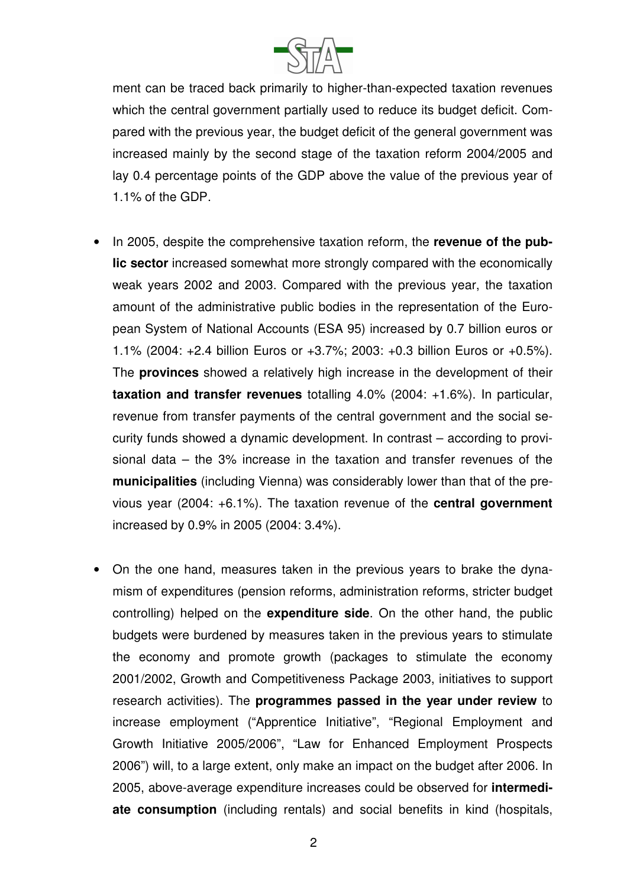

ment can be traced back primarily to higher-than-expected taxation revenues which the central government partially used to reduce its budget deficit. Compared with the previous year, the budget deficit of the general government was increased mainly by the second stage of the taxation reform 2004/2005 and lay 0.4 percentage points of the GDP above the value of the previous year of 1.1% of the GDP.

- In 2005, despite the comprehensive taxation reform, the **revenue of the public sector** increased somewhat more strongly compared with the economically weak years 2002 and 2003. Compared with the previous year, the taxation amount of the administrative public bodies in the representation of the European System of National Accounts (ESA 95) increased by 0.7 billion euros or 1.1% (2004: +2.4 billion Euros or +3.7%; 2003: +0.3 billion Euros or +0.5%). The **provinces** showed a relatively high increase in the development of their **taxation and transfer revenues** totalling 4.0% (2004: +1.6%). In particular, revenue from transfer payments of the central government and the social security funds showed a dynamic development. In contrast – according to provisional data – the 3% increase in the taxation and transfer revenues of the **municipalities** (including Vienna) was considerably lower than that of the previous year (2004: +6.1%). The taxation revenue of the **central government** increased by 0.9% in 2005 (2004: 3.4%).
- On the one hand, measures taken in the previous years to brake the dynamism of expenditures (pension reforms, administration reforms, stricter budget controlling) helped on the **expenditure side**. On the other hand, the public budgets were burdened by measures taken in the previous years to stimulate the economy and promote growth (packages to stimulate the economy 2001/2002, Growth and Competitiveness Package 2003, initiatives to support research activities). The **programmes passed in the year under review** to increase employment ("Apprentice Initiative", "Regional Employment and Growth Initiative 2005/2006", "Law for Enhanced Employment Prospects 2006") will, to a large extent, only make an impact on the budget after 2006. In 2005, above-average expenditure increases could be observed for **intermediate consumption** (including rentals) and social benefits in kind (hospitals,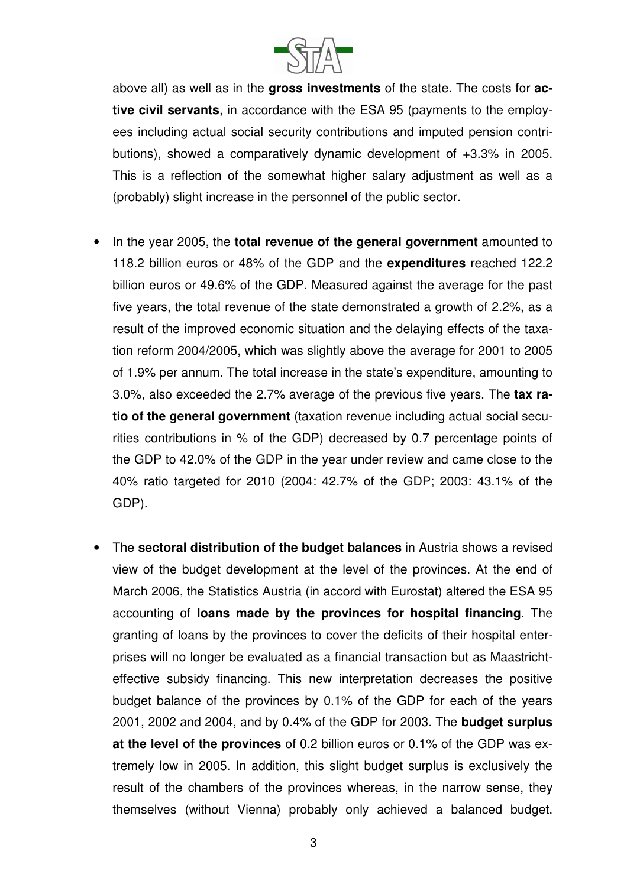

above all) as well as in the **gross investments** of the state. The costs for **active civil servants**, in accordance with the ESA 95 (payments to the employees including actual social security contributions and imputed pension contributions), showed a comparatively dynamic development of +3.3% in 2005. This is a reflection of the somewhat higher salary adjustment as well as a (probably) slight increase in the personnel of the public sector.

- In the year 2005, the **total revenue of the general government** amounted to 118.2 billion euros or 48% of the GDP and the **expenditures** reached 122.2 billion euros or 49.6% of the GDP. Measured against the average for the past five years, the total revenue of the state demonstrated a growth of 2.2%, as a result of the improved economic situation and the delaying effects of the taxation reform 2004/2005, which was slightly above the average for 2001 to 2005 of 1.9% per annum. The total increase in the state's expenditure, amounting to 3.0%, also exceeded the 2.7% average of the previous five years. The **tax ratio of the general government** (taxation revenue including actual social securities contributions in % of the GDP) decreased by 0.7 percentage points of the GDP to 42.0% of the GDP in the year under review and came close to the 40% ratio targeted for 2010 (2004: 42.7% of the GDP; 2003: 43.1% of the GDP).
- The **sectoral distribution of the budget balances** in Austria shows a revised view of the budget development at the level of the provinces. At the end of March 2006, the Statistics Austria (in accord with Eurostat) altered the ESA 95 accounting of **loans made by the provinces for hospital financing**. The granting of loans by the provinces to cover the deficits of their hospital enterprises will no longer be evaluated as a financial transaction but as Maastrichteffective subsidy financing. This new interpretation decreases the positive budget balance of the provinces by 0.1% of the GDP for each of the years 2001, 2002 and 2004, and by 0.4% of the GDP for 2003. The **budget surplus at the level of the provinces** of 0.2 billion euros or 0.1% of the GDP was extremely low in 2005. In addition, this slight budget surplus is exclusively the result of the chambers of the provinces whereas, in the narrow sense, they themselves (without Vienna) probably only achieved a balanced budget.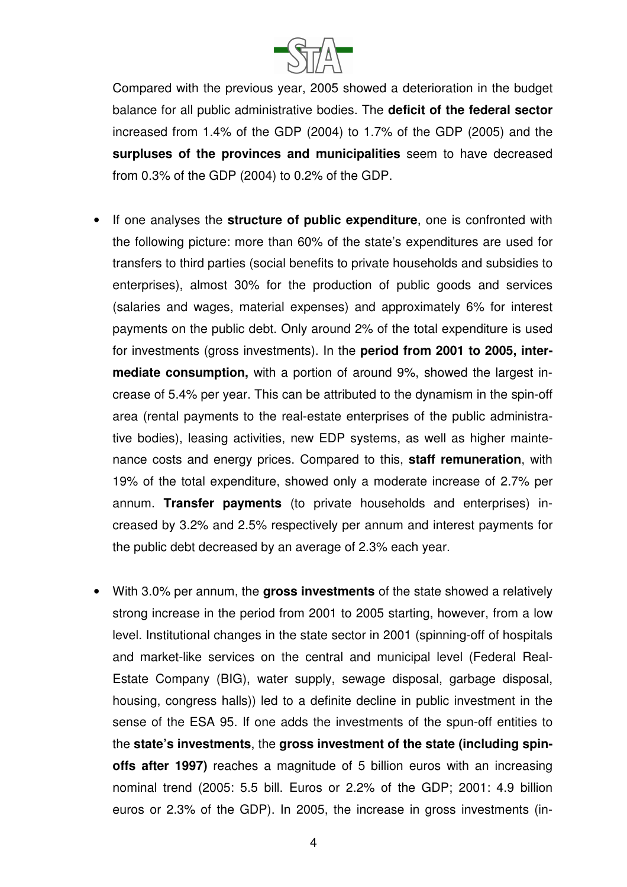

Compared with the previous year, 2005 showed a deterioration in the budget balance for all public administrative bodies. The **deficit of the federal sector** increased from 1.4% of the GDP (2004) to 1.7% of the GDP (2005) and the **surpluses of the provinces and municipalities** seem to have decreased from 0.3% of the GDP (2004) to 0.2% of the GDP.

- If one analyses the **structure of public expenditure**, one is confronted with the following picture: more than 60% of the state's expenditures are used for transfers to third parties (social benefits to private households and subsidies to enterprises), almost 30% for the production of public goods and services (salaries and wages, material expenses) and approximately 6% for interest payments on the public debt. Only around 2% of the total expenditure is used for investments (gross investments). In the **period from 2001 to 2005, intermediate consumption,** with a portion of around 9%, showed the largest increase of 5.4% per year. This can be attributed to the dynamism in the spin-off area (rental payments to the real-estate enterprises of the public administrative bodies), leasing activities, new EDP systems, as well as higher maintenance costs and energy prices. Compared to this, **staff remuneration**, with 19% of the total expenditure, showed only a moderate increase of 2.7% per annum. **Transfer payments** (to private households and enterprises) increased by 3.2% and 2.5% respectively per annum and interest payments for the public debt decreased by an average of 2.3% each year.
- With 3.0% per annum, the **gross investments** of the state showed a relatively strong increase in the period from 2001 to 2005 starting, however, from a low level. Institutional changes in the state sector in 2001 (spinning-off of hospitals and market-like services on the central and municipal level (Federal Real-Estate Company (BIG), water supply, sewage disposal, garbage disposal, housing, congress halls)) led to a definite decline in public investment in the sense of the ESA 95. If one adds the investments of the spun-off entities to the **state's investments**, the **gross investment of the state (including spinoffs after 1997)** reaches a magnitude of 5 billion euros with an increasing nominal trend (2005: 5.5 bill. Euros or 2.2% of the GDP; 2001: 4.9 billion euros or 2.3% of the GDP). In 2005, the increase in gross investments (in-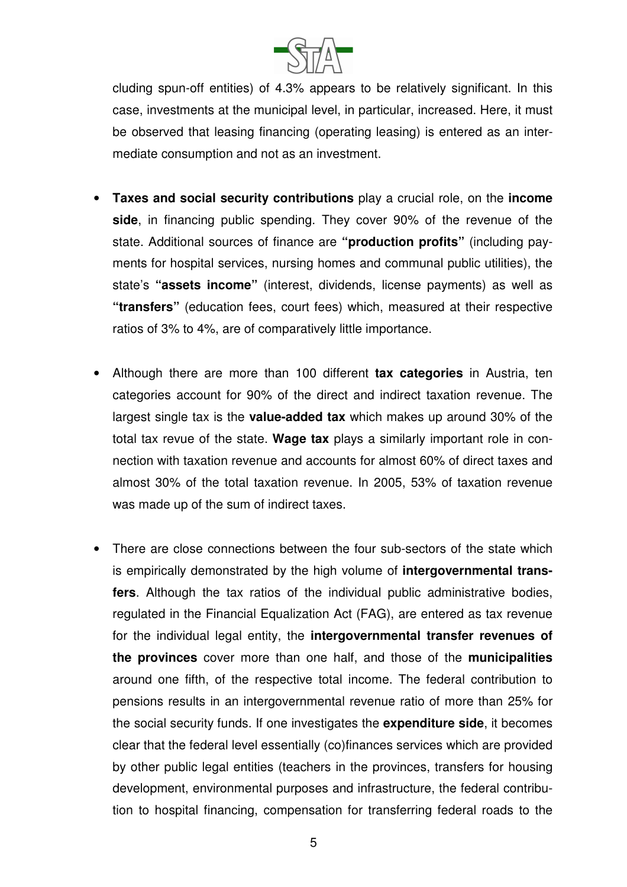

cluding spun-off entities) of 4.3% appears to be relatively significant. In this case, investments at the municipal level, in particular, increased. Here, it must be observed that leasing financing (operating leasing) is entered as an intermediate consumption and not as an investment.

- **Taxes and social security contributions** play a crucial role, on the **income side**, in financing public spending. They cover 90% of the revenue of the state. Additional sources of finance are **"production profits"** (including payments for hospital services, nursing homes and communal public utilities), the state's **"assets income"** (interest, dividends, license payments) as well as **"transfers"** (education fees, court fees) which, measured at their respective ratios of 3% to 4%, are of comparatively little importance.
- Although there are more than 100 different **tax categories** in Austria, ten categories account for 90% of the direct and indirect taxation revenue. The largest single tax is the **value-added tax** which makes up around 30% of the total tax revue of the state. **Wage tax** plays a similarly important role in connection with taxation revenue and accounts for almost 60% of direct taxes and almost 30% of the total taxation revenue. In 2005, 53% of taxation revenue was made up of the sum of indirect taxes.
- There are close connections between the four sub-sectors of the state which is empirically demonstrated by the high volume of **intergovernmental transfers**. Although the tax ratios of the individual public administrative bodies, regulated in the Financial Equalization Act (FAG), are entered as tax revenue for the individual legal entity, the **intergovernmental transfer revenues of the provinces** cover more than one half, and those of the **municipalities** around one fifth, of the respective total income. The federal contribution to pensions results in an intergovernmental revenue ratio of more than 25% for the social security funds. If one investigates the **expenditure side**, it becomes clear that the federal level essentially (co)finances services which are provided by other public legal entities (teachers in the provinces, transfers for housing development, environmental purposes and infrastructure, the federal contribution to hospital financing, compensation for transferring federal roads to the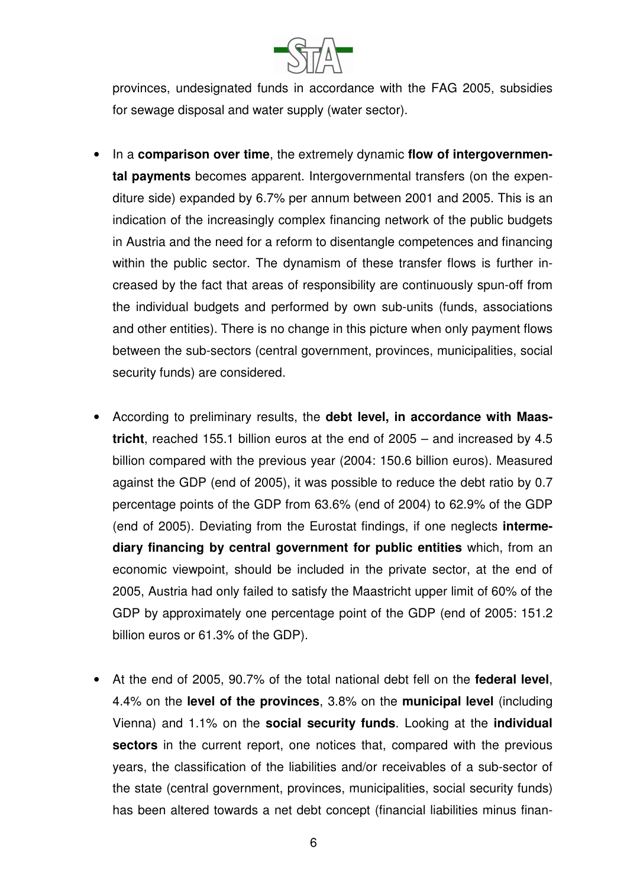

provinces, undesignated funds in accordance with the FAG 2005, subsidies for sewage disposal and water supply (water sector).

- In a **comparison over time**, the extremely dynamic **flow of intergovernmental payments** becomes apparent. Intergovernmental transfers (on the expenditure side) expanded by 6.7% per annum between 2001 and 2005. This is an indication of the increasingly complex financing network of the public budgets in Austria and the need for a reform to disentangle competences and financing within the public sector. The dynamism of these transfer flows is further increased by the fact that areas of responsibility are continuously spun-off from the individual budgets and performed by own sub-units (funds, associations and other entities). There is no change in this picture when only payment flows between the sub-sectors (central government, provinces, municipalities, social security funds) are considered.
- According to preliminary results, the **debt level, in accordance with Maastricht**, reached 155.1 billion euros at the end of 2005 – and increased by 4.5 billion compared with the previous year (2004: 150.6 billion euros). Measured against the GDP (end of 2005), it was possible to reduce the debt ratio by 0.7 percentage points of the GDP from 63.6% (end of 2004) to 62.9% of the GDP (end of 2005). Deviating from the Eurostat findings, if one neglects **intermediary financing by central government for public entities** which, from an economic viewpoint, should be included in the private sector, at the end of 2005, Austria had only failed to satisfy the Maastricht upper limit of 60% of the GDP by approximately one percentage point of the GDP (end of 2005: 151.2 billion euros or 61.3% of the GDP).
- At the end of 2005, 90.7% of the total national debt fell on the **federal level**, 4.4% on the **level of the provinces**, 3.8% on the **municipal level** (including Vienna) and 1.1% on the **social security funds**. Looking at the **individual sectors** in the current report, one notices that, compared with the previous years, the classification of the liabilities and/or receivables of a sub-sector of the state (central government, provinces, municipalities, social security funds) has been altered towards a net debt concept (financial liabilities minus finan-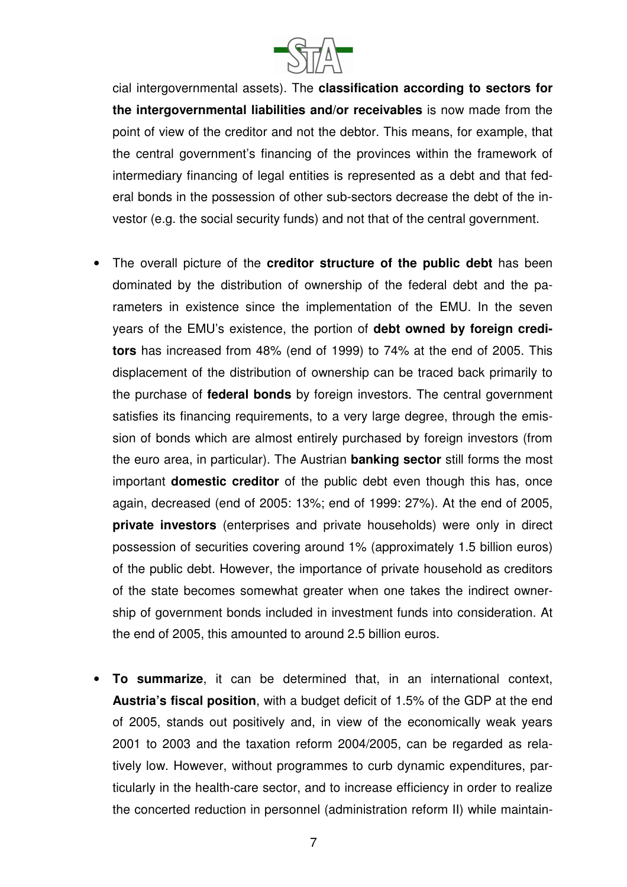

cial intergovernmental assets). The **classification according to sectors for the intergovernmental liabilities and/or receivables** is now made from the point of view of the creditor and not the debtor. This means, for example, that the central government's financing of the provinces within the framework of intermediary financing of legal entities is represented as a debt and that federal bonds in the possession of other sub-sectors decrease the debt of the investor (e.g. the social security funds) and not that of the central government.

- The overall picture of the **creditor structure of the public debt** has been dominated by the distribution of ownership of the federal debt and the parameters in existence since the implementation of the EMU. In the seven years of the EMU's existence, the portion of **debt owned by foreign creditors** has increased from 48% (end of 1999) to 74% at the end of 2005. This displacement of the distribution of ownership can be traced back primarily to the purchase of **federal bonds** by foreign investors. The central government satisfies its financing requirements, to a very large degree, through the emission of bonds which are almost entirely purchased by foreign investors (from the euro area, in particular). The Austrian **banking sector** still forms the most important **domestic creditor** of the public debt even though this has, once again, decreased (end of 2005: 13%; end of 1999: 27%). At the end of 2005, **private investors** (enterprises and private households) were only in direct possession of securities covering around 1% (approximately 1.5 billion euros) of the public debt. However, the importance of private household as creditors of the state becomes somewhat greater when one takes the indirect ownership of government bonds included in investment funds into consideration. At the end of 2005, this amounted to around 2.5 billion euros.
- **To summarize**, it can be determined that, in an international context, **Austria's fiscal position**, with a budget deficit of 1.5% of the GDP at the end of 2005, stands out positively and, in view of the economically weak years 2001 to 2003 and the taxation reform 2004/2005, can be regarded as relatively low. However, without programmes to curb dynamic expenditures, particularly in the health-care sector, and to increase efficiency in order to realize the concerted reduction in personnel (administration reform II) while maintain-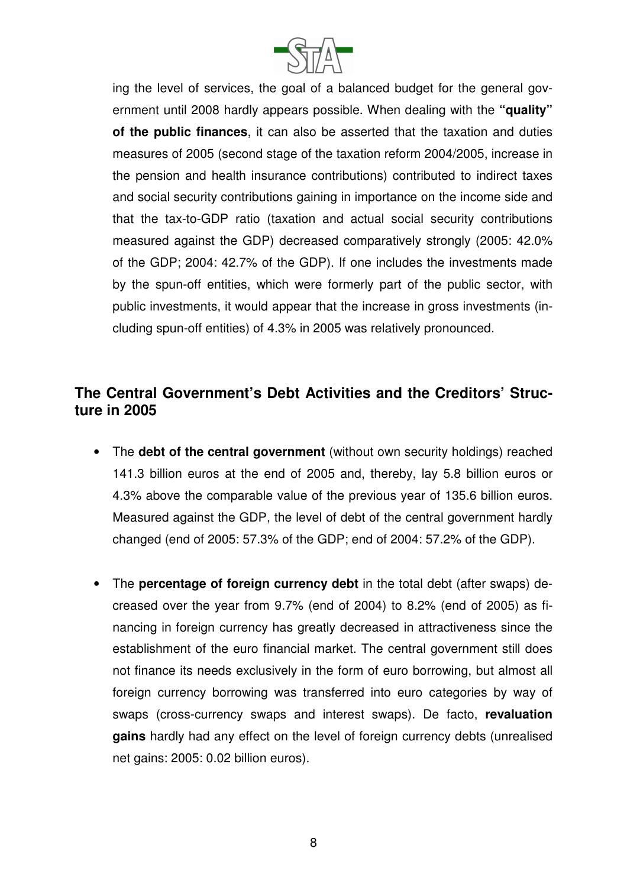

ing the level of services, the goal of a balanced budget for the general government until 2008 hardly appears possible. When dealing with the **"quality" of the public finances**, it can also be asserted that the taxation and duties measures of 2005 (second stage of the taxation reform 2004/2005, increase in the pension and health insurance contributions) contributed to indirect taxes and social security contributions gaining in importance on the income side and that the tax-to-GDP ratio (taxation and actual social security contributions measured against the GDP) decreased comparatively strongly (2005: 42.0% of the GDP; 2004: 42.7% of the GDP). If one includes the investments made by the spun-off entities, which were formerly part of the public sector, with public investments, it would appear that the increase in gross investments (including spun-off entities) of 4.3% in 2005 was relatively pronounced.

## **The Central Government's Debt Activities and the Creditors' Structure in 2005**

- The **debt of the central government** (without own security holdings) reached 141.3 billion euros at the end of 2005 and, thereby, lay 5.8 billion euros or 4.3% above the comparable value of the previous year of 135.6 billion euros. Measured against the GDP, the level of debt of the central government hardly changed (end of 2005: 57.3% of the GDP; end of 2004: 57.2% of the GDP).
- The **percentage of foreign currency debt** in the total debt (after swaps) decreased over the year from 9.7% (end of 2004) to 8.2% (end of 2005) as financing in foreign currency has greatly decreased in attractiveness since the establishment of the euro financial market. The central government still does not finance its needs exclusively in the form of euro borrowing, but almost all foreign currency borrowing was transferred into euro categories by way of swaps (cross-currency swaps and interest swaps). De facto, **revaluation gains** hardly had any effect on the level of foreign currency debts (unrealised net gains: 2005: 0.02 billion euros).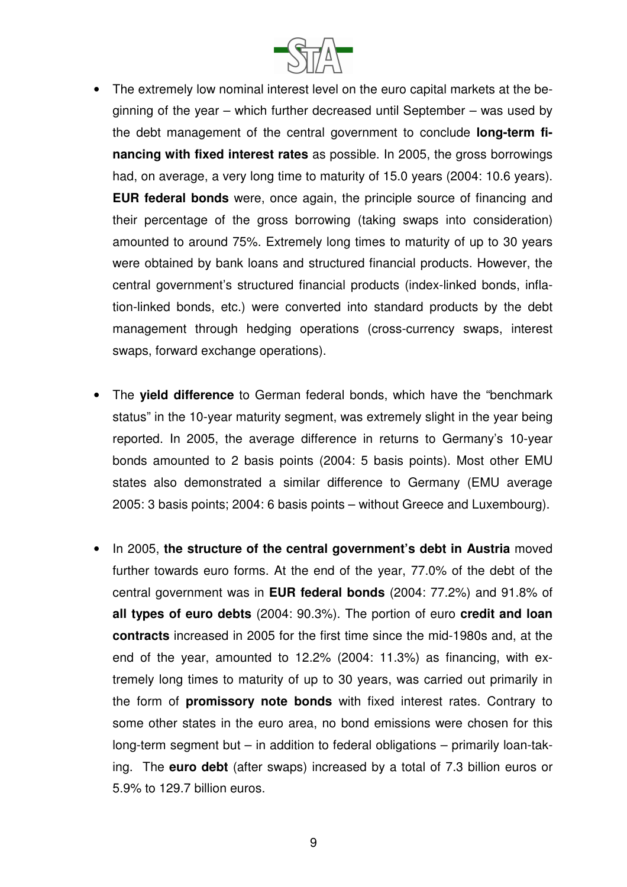

- The extremely low nominal interest level on the euro capital markets at the beginning of the year – which further decreased until September – was used by the debt management of the central government to conclude **long-term financing with fixed interest rates** as possible. In 2005, the gross borrowings had, on average, a very long time to maturity of 15.0 years (2004: 10.6 years). **EUR federal bonds** were, once again, the principle source of financing and their percentage of the gross borrowing (taking swaps into consideration) amounted to around 75%. Extremely long times to maturity of up to 30 years were obtained by bank loans and structured financial products. However, the central government's structured financial products (index-linked bonds, inflation-linked bonds, etc.) were converted into standard products by the debt management through hedging operations (cross-currency swaps, interest swaps, forward exchange operations).
- The **yield difference** to German federal bonds, which have the "benchmark status" in the 10-year maturity segment, was extremely slight in the year being reported. In 2005, the average difference in returns to Germany's 10-year bonds amounted to 2 basis points (2004: 5 basis points). Most other EMU states also demonstrated a similar difference to Germany (EMU average 2005: 3 basis points; 2004: 6 basis points – without Greece and Luxembourg).
- In 2005, **the structure of the central government's debt in Austria** moved further towards euro forms. At the end of the year, 77.0% of the debt of the central government was in **EUR federal bonds** (2004: 77.2%) and 91.8% of **all types of euro debts** (2004: 90.3%). The portion of euro **credit and loan contracts** increased in 2005 for the first time since the mid-1980s and, at the end of the year, amounted to 12.2% (2004: 11.3%) as financing, with extremely long times to maturity of up to 30 years, was carried out primarily in the form of **promissory note bonds** with fixed interest rates. Contrary to some other states in the euro area, no bond emissions were chosen for this long-term segment but – in addition to federal obligations – primarily loan-taking. The **euro debt** (after swaps) increased by a total of 7.3 billion euros or 5.9% to 129.7 billion euros.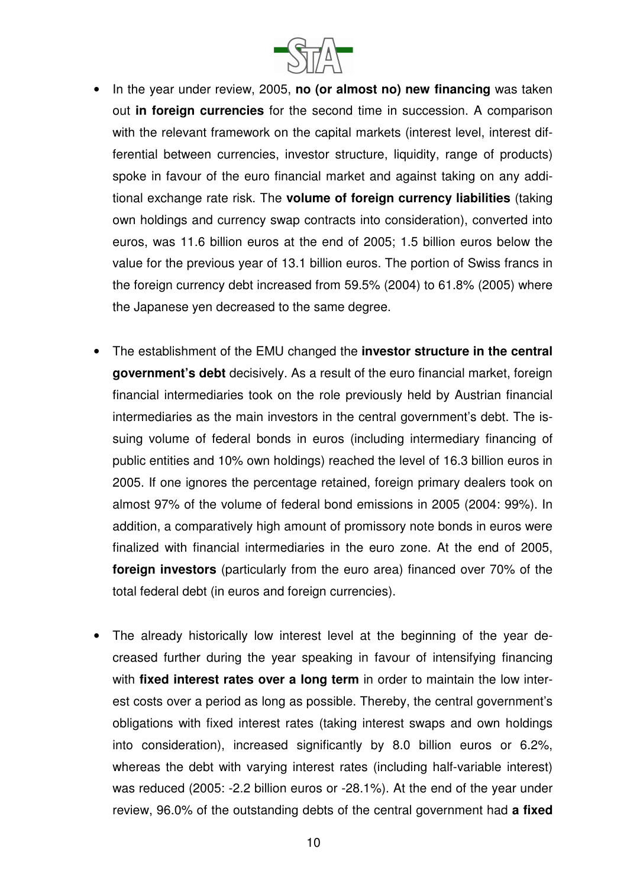

- In the year under review, 2005, **no (or almost no) new financing** was taken out **in foreign currencies** for the second time in succession. A comparison with the relevant framework on the capital markets (interest level, interest differential between currencies, investor structure, liquidity, range of products) spoke in favour of the euro financial market and against taking on any additional exchange rate risk. The **volume of foreign currency liabilities** (taking own holdings and currency swap contracts into consideration), converted into euros, was 11.6 billion euros at the end of 2005; 1.5 billion euros below the value for the previous year of 13.1 billion euros. The portion of Swiss francs in the foreign currency debt increased from 59.5% (2004) to 61.8% (2005) where the Japanese yen decreased to the same degree.
- The establishment of the EMU changed the **investor structure in the central government's debt** decisively. As a result of the euro financial market, foreign financial intermediaries took on the role previously held by Austrian financial intermediaries as the main investors in the central government's debt. The issuing volume of federal bonds in euros (including intermediary financing of public entities and 10% own holdings) reached the level of 16.3 billion euros in 2005. If one ignores the percentage retained, foreign primary dealers took on almost 97% of the volume of federal bond emissions in 2005 (2004: 99%). In addition, a comparatively high amount of promissory note bonds in euros were finalized with financial intermediaries in the euro zone. At the end of 2005, **foreign investors** (particularly from the euro area) financed over 70% of the total federal debt (in euros and foreign currencies).
- The already historically low interest level at the beginning of the year decreased further during the year speaking in favour of intensifying financing with **fixed interest rates over a long term** in order to maintain the low interest costs over a period as long as possible. Thereby, the central government's obligations with fixed interest rates (taking interest swaps and own holdings into consideration), increased significantly by 8.0 billion euros or 6.2%, whereas the debt with varying interest rates (including half-variable interest) was reduced (2005: -2.2 billion euros or -28.1%). At the end of the year under review, 96.0% of the outstanding debts of the central government had **a fixed**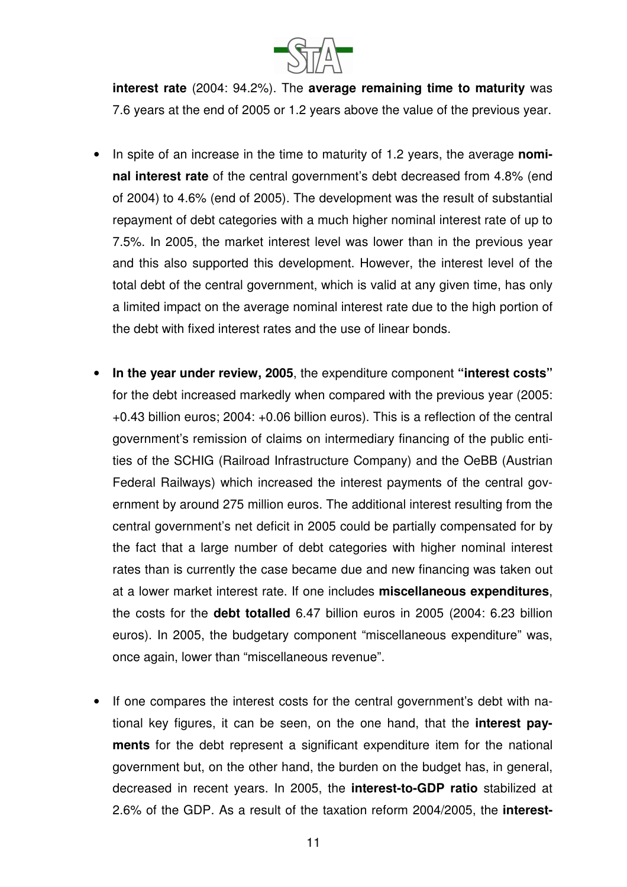

**interest rate** (2004: 94.2%). The **average remaining time to maturity** was 7.6 years at the end of 2005 or 1.2 years above the value of the previous year.

- In spite of an increase in the time to maturity of 1.2 years, the average **nominal interest rate** of the central government's debt decreased from 4.8% (end of 2004) to 4.6% (end of 2005). The development was the result of substantial repayment of debt categories with a much higher nominal interest rate of up to 7.5%. In 2005, the market interest level was lower than in the previous year and this also supported this development. However, the interest level of the total debt of the central government, which is valid at any given time, has only a limited impact on the average nominal interest rate due to the high portion of the debt with fixed interest rates and the use of linear bonds.
- **In the year under review, 2005**, the expenditure component **"interest costs"** for the debt increased markedly when compared with the previous year (2005: +0.43 billion euros; 2004: +0.06 billion euros). This is a reflection of the central government's remission of claims on intermediary financing of the public entities of the SCHIG (Railroad Infrastructure Company) and the OeBB (Austrian Federal Railways) which increased the interest payments of the central government by around 275 million euros. The additional interest resulting from the central government's net deficit in 2005 could be partially compensated for by the fact that a large number of debt categories with higher nominal interest rates than is currently the case became due and new financing was taken out at a lower market interest rate. If one includes **miscellaneous expenditures**, the costs for the **debt totalled** 6.47 billion euros in 2005 (2004: 6.23 billion euros). In 2005, the budgetary component "miscellaneous expenditure" was, once again, lower than "miscellaneous revenue".
- If one compares the interest costs for the central government's debt with national key figures, it can be seen, on the one hand, that the **interest payments** for the debt represent a significant expenditure item for the national government but, on the other hand, the burden on the budget has, in general, decreased in recent years. In 2005, the **interest-to-GDP ratio** stabilized at 2.6% of the GDP. As a result of the taxation reform 2004/2005, the **interest-**